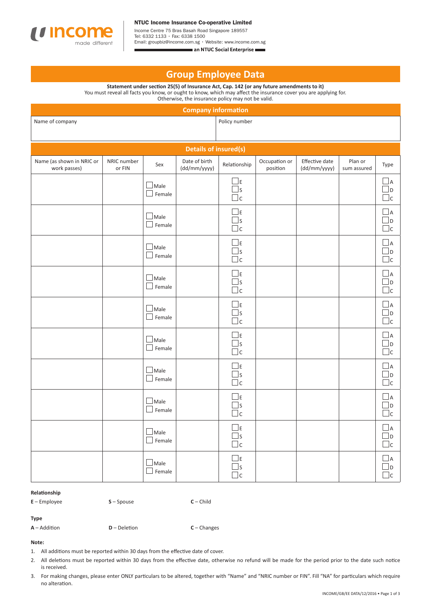

NTUC Income Insurance Co-operative Limited

Income Centre 75 Bras Basah Road Singapore 189557 Tel: 6332 1133 • Fax: 6338 1500 Email: groupbiz@income.com.sg • Website: www.income.com.sg

an NTUC Social Enterprise

# **Group Employee Data**

**Statement under section 25(5) of Insurance Act, Cap. 142 (or any future amendments to it)**  You must reveal all facts you know, or ought to know, which may affect the insurance cover you are applying for.

Otherwise, the insurance policy may not be valid.

| <b>Company information</b>                |                       |                              |                               |                                      |                           |                                |                        |                                    |
|-------------------------------------------|-----------------------|------------------------------|-------------------------------|--------------------------------------|---------------------------|--------------------------------|------------------------|------------------------------------|
| Name of company                           |                       |                              |                               | Policy number                        |                           |                                |                        |                                    |
| Details of insured(s)                     |                       |                              |                               |                                      |                           |                                |                        |                                    |
| Name (as shown in NRIC or<br>work passes) | NRIC number<br>or FIN | Sex                          | Date of birth<br>(dd/mm/yyyy) | Relationship                         | Occupation or<br>position | Effective date<br>(dd/mm/yyyy) | Plan or<br>sum assured | Type                               |
|                                           |                       | $\Box$ Male<br>$\Box$ Female |                               | $\square$<br>$\Box$ s<br>$\Box$ c    |                           |                                |                        | $\Box$ a<br>⊿D<br>$\Box$ c         |
|                                           |                       | $\Box$ Male<br>$\Box$ Female |                               | $\square$<br>$\Box$ s<br>$\Box$ c    |                           |                                |                        | $\Box$ A<br>⊿D<br>$\Box$ c         |
|                                           |                       | $\Box$ Male<br>$\Box$ Female |                               | $\square$<br>$\Box$ s<br>$\Box$ c    |                           |                                |                        | $\sqcup$ A<br>$\Box$ D<br>$\Box$ c |
|                                           |                       | $\Box$ Male<br>$\Box$ Female |                               | $\square$ E<br>$\Box$ s<br>$\Box$ c  |                           |                                |                        | $\Box$ A<br>D<br>$\Box$ c          |
|                                           |                       | $\Box$ Male<br>$\Box$ Female |                               | $\square$<br>$\Box$ s<br>$\Box$ c    |                           |                                |                        | $\sqcup$ A<br>$\Box$ d<br>$\Box$ c |
|                                           |                       | $\Box$ Male<br>$\Box$ Female |                               | $\square$<br>$\Box$ s<br>$\Box$ c    |                           |                                |                        | $\Box$ a<br>$\Box$ D<br>$\Box$ c   |
|                                           |                       | $\Box$ Male<br>$\Box$ Female |                               | $\Box$ E<br>$\square$ s<br>$\Box$ c  |                           |                                |                        | $\Box$ a<br>∐d<br>$\Box$ c         |
|                                           |                       | $\Box$ Male<br>$\Box$ Female |                               | $\square$<br>$\Box$ s<br>$\Box$ c    |                           |                                |                        | ⊿⊿<br>$\Box$<br>$\Box$ c           |
|                                           |                       | $\Box$ Male<br>$\Box$ Female |                               | $\square$<br>$\square$ s<br>$\Box$ c |                           |                                |                        | $\Box$ A<br>$\Box$ D<br>$\Box$ c   |
|                                           |                       | $\Box$ Male<br>$\Box$ Female |                               | $\square$<br>$\Box$ s<br>$\Box$ c    |                           |                                |                        | $\Box$ A<br>Jd<br>$\Box$ c         |

### **Relationship**

**E** – Employee **S** – Spouse **C** – Child

## **Type**

**A** – Addition **D** – Deletion **C** – Changes

## **Note:**

- 1. All additions must be reported within 30 days from the effective date of cover.
- 2. All deletions must be reported within 30 days from the effective date, otherwise no refund will be made for the period prior to the date such notice is received.
- 3. For making changes, please enter ONLY particulars to be altered, together with "Name" and "NRIC number or FIN". Fill "NA" for particulars which require no alteration.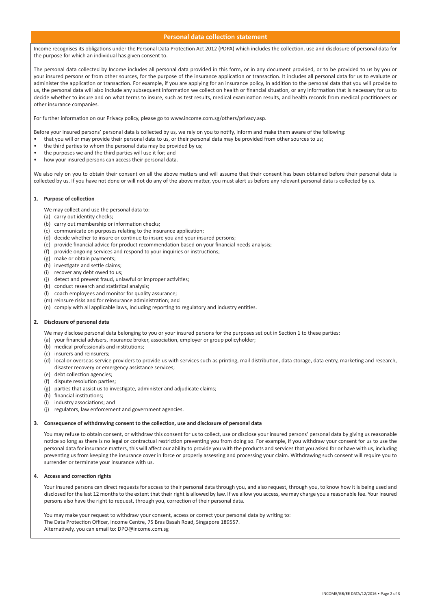## **Personal data collection statement**

Income recognises its obligations under the Personal Data Protection Act 2012 (PDPA) which includes the collection, use and disclosure of personal data for the purpose for which an individual has given consent to.

The personal data collected by Income includes all personal data provided in this form, or in any document provided, or to be provided to us by you or your insured persons or from other sources, for the purpose of the insurance application or transaction. It includes all personal data for us to evaluate or administer the application or transaction. For example, if you are applying for an insurance policy, in addition to the personal data that you will provide to us, the personal data will also include any subsequent information we collect on health or financial situation, or any information that is necessary for us to decide whether to insure and on what terms to insure, such as test results, medical examination results, and health records from medical practitioners or other insurance companies.

For further information on our Privacy policy, please go to www.income.com.sg/others/privacy.asp.

Before your insured persons' personal data is collected by us, we rely on you to notify, inform and make them aware of the following:

- that you will or may provide their personal data to us, or their personal data may be provided from other sources to us;
- the third parties to whom the personal data may be provided by us;
- the purposes we and the third parties will use it for; and
- how your insured persons can access their personal data.

We also rely on you to obtain their consent on all the above matters and will assume that their consent has been obtained before their personal data is collected by us. If you have not done or will not do any of the above matter, you must alert us before any relevant personal data is collected by us.

#### **1. Purpose of collection**

We may collect and use the personal data to:

- (a) carry out identity checks;
- (b) carry out membership or information checks;
- (c) communicate on purposes relating to the insurance application;
- (d) decide whether to insure or continue to insure you and your insured persons;
- (e) provide financial advice for product recommendation based on your financial needs analysis;
- (f) provide ongoing services and respond to your inquiries or instructions;
- (g) make or obtain payments;
- (h) investigate and settle claims;
- (i) recover any debt owed to us;
- (j) detect and prevent fraud, unlawful or improper activities;
- (k) conduct research and statistical analysis;
- (l) coach employees and monitor for quality assurance;
- (m) reinsure risks and for reinsurance administration; and
- (n) comply with all applicable laws, including reporting to regulatory and industry entities.

#### **2. Disclosure of personal data**

We may disclose personal data belonging to you or your insured persons for the purposes set out in Section 1 to these parties:

- (a) your financial advisers, insurance broker, association, employer or group policyholder;
- (b) medical professionals and institutions;
- (c) insurers and reinsurers;
- (d) local or overseas service providers to provide us with services such as printing, mail distribution, data storage, data entry, marketing and research, disaster recovery or emergency assistance services;
- (e) debt collection agencies;
- (f) dispute resolution parties;
- (g) parties that assist us to investigate, administer and adjudicate claims;
- (h) financial institutions;
- (i) industry associations; and
- (j) regulators, law enforcement and government agencies.

#### **3**. **Consequence of withdrawing consent to the collection, use and disclosure of personal data**

You may refuse to obtain consent, or withdraw this consent for us to collect, use or disclose your insured persons' personal data by giving us reasonable notice so long as there is no legal or contractual restriction preventing you from doing so. For example, if you withdraw your consent for us to use the personal data for insurance matters, this will affect our ability to provide you with the products and services that you asked for or have with us, including preventing us from keeping the insurance cover in force or properly assessing and processing your claim. Withdrawing such consent will require you to surrender or terminate your insurance with us.

## **4**. **Access and correction rights**

Your insured persons can direct requests for access to their personal data through you, and also request, through you, to know how it is being used and disclosed for the last 12 months to the extent that their right is allowed by law. If we allow you access, we may charge you a reasonable fee. Your insured persons also have the right to request, through you, correction of their personal data.

You may make your request to withdraw your consent, access or correct your personal data by writing to: The Data Protection Officer, Income Centre, 75 Bras Basah Road, Singapore 189557. Alternatively, you can email to: DPO@income.com.sg